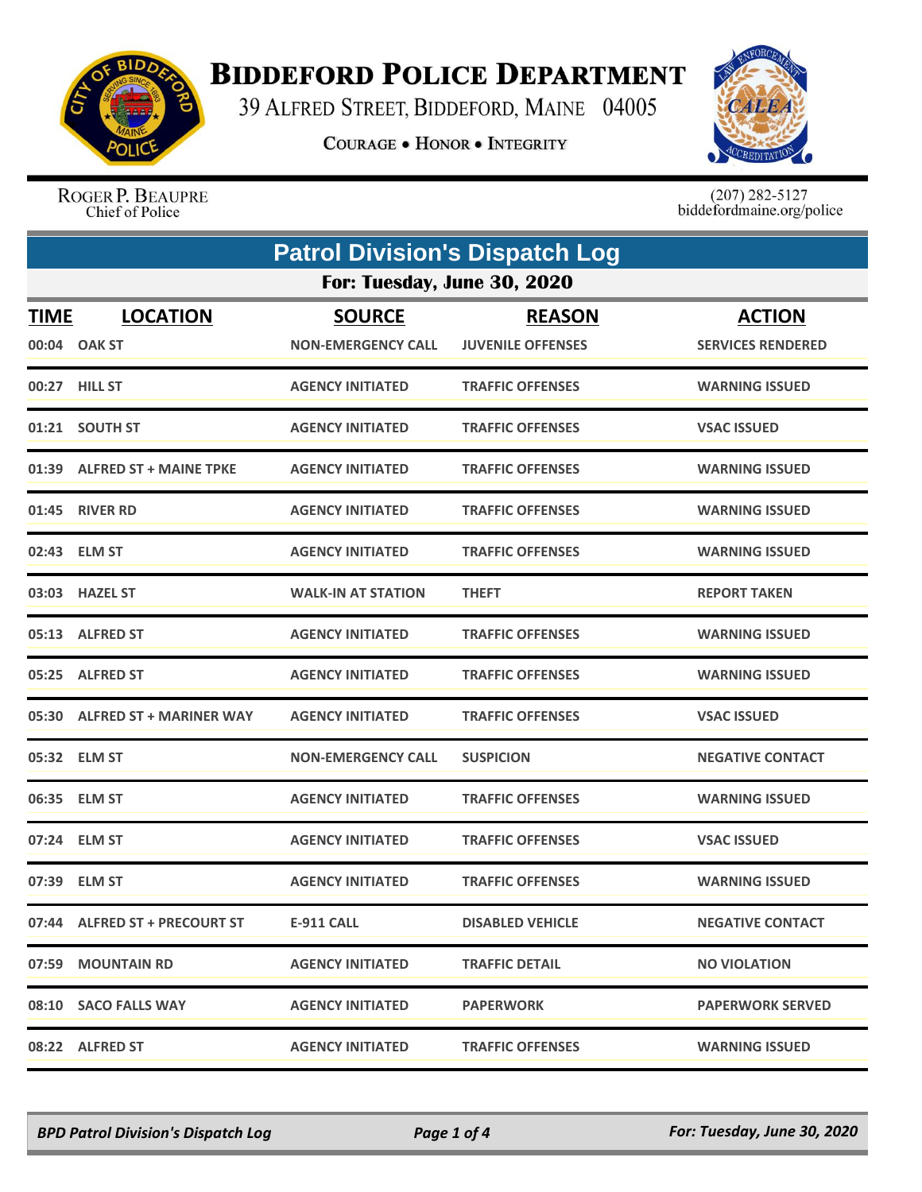

## **BIDDEFORD POLICE DEPARTMENT**

39 ALFRED STREET, BIDDEFORD, MAINE 04005

**COURAGE . HONOR . INTEGRITY** 



ROGER P. BEAUPRE Chief of Police

 $(207)$  282-5127<br>biddefordmaine.org/police

| <b>Patrol Division's Dispatch Log</b> |                               |                           |                          |                          |  |
|---------------------------------------|-------------------------------|---------------------------|--------------------------|--------------------------|--|
|                                       | For: Tuesday, June 30, 2020   |                           |                          |                          |  |
| <b>TIME</b>                           | <b>LOCATION</b>               | <b>SOURCE</b>             | <b>REASON</b>            | <b>ACTION</b>            |  |
|                                       | 00:04 OAK ST                  | <b>NON-EMERGENCY CALL</b> | <b>JUVENILE OFFENSES</b> | <b>SERVICES RENDERED</b> |  |
|                                       | 00:27 HILL ST                 | <b>AGENCY INITIATED</b>   | <b>TRAFFIC OFFENSES</b>  | <b>WARNING ISSUED</b>    |  |
|                                       | 01:21 SOUTH ST                | <b>AGENCY INITIATED</b>   | <b>TRAFFIC OFFENSES</b>  | <b>VSAC ISSUED</b>       |  |
|                                       | 01:39 ALFRED ST + MAINE TPKE  | <b>AGENCY INITIATED</b>   | <b>TRAFFIC OFFENSES</b>  | <b>WARNING ISSUED</b>    |  |
|                                       | 01:45 RIVER RD                | <b>AGENCY INITIATED</b>   | <b>TRAFFIC OFFENSES</b>  | <b>WARNING ISSUED</b>    |  |
|                                       | 02:43 ELM ST                  | <b>AGENCY INITIATED</b>   | <b>TRAFFIC OFFENSES</b>  | <b>WARNING ISSUED</b>    |  |
|                                       | 03:03 HAZEL ST                | <b>WALK-IN AT STATION</b> | <b>THEFT</b>             | <b>REPORT TAKEN</b>      |  |
|                                       | 05:13 ALFRED ST               | <b>AGENCY INITIATED</b>   | <b>TRAFFIC OFFENSES</b>  | <b>WARNING ISSUED</b>    |  |
|                                       | 05:25 ALFRED ST               | <b>AGENCY INITIATED</b>   | <b>TRAFFIC OFFENSES</b>  | <b>WARNING ISSUED</b>    |  |
|                                       | 05:30 ALFRED ST + MARINER WAY | <b>AGENCY INITIATED</b>   | <b>TRAFFIC OFFENSES</b>  | <b>VSAC ISSUED</b>       |  |
|                                       | 05:32 ELM ST                  | <b>NON-EMERGENCY CALL</b> | <b>SUSPICION</b>         | <b>NEGATIVE CONTACT</b>  |  |
|                                       | 06:35 ELM ST                  | <b>AGENCY INITIATED</b>   | <b>TRAFFIC OFFENSES</b>  | <b>WARNING ISSUED</b>    |  |
|                                       | 07:24 ELM ST                  | <b>AGENCY INITIATED</b>   | <b>TRAFFIC OFFENSES</b>  | <b>VSAC ISSUED</b>       |  |
|                                       | 07:39 ELM ST                  | <b>AGENCY INITIATED</b>   | <b>TRAFFIC OFFENSES</b>  | <b>WARNING ISSUED</b>    |  |
|                                       | 07:44 ALFRED ST + PRECOURT ST | <b>E-911 CALL</b>         | <b>DISABLED VEHICLE</b>  | <b>NEGATIVE CONTACT</b>  |  |
|                                       | 07:59 MOUNTAIN RD             | <b>AGENCY INITIATED</b>   | <b>TRAFFIC DETAIL</b>    | <b>NO VIOLATION</b>      |  |
|                                       | 08:10 SACO FALLS WAY          | <b>AGENCY INITIATED</b>   | <b>PAPERWORK</b>         | <b>PAPERWORK SERVED</b>  |  |
|                                       | 08:22 ALFRED ST               | <b>AGENCY INITIATED</b>   | <b>TRAFFIC OFFENSES</b>  | <b>WARNING ISSUED</b>    |  |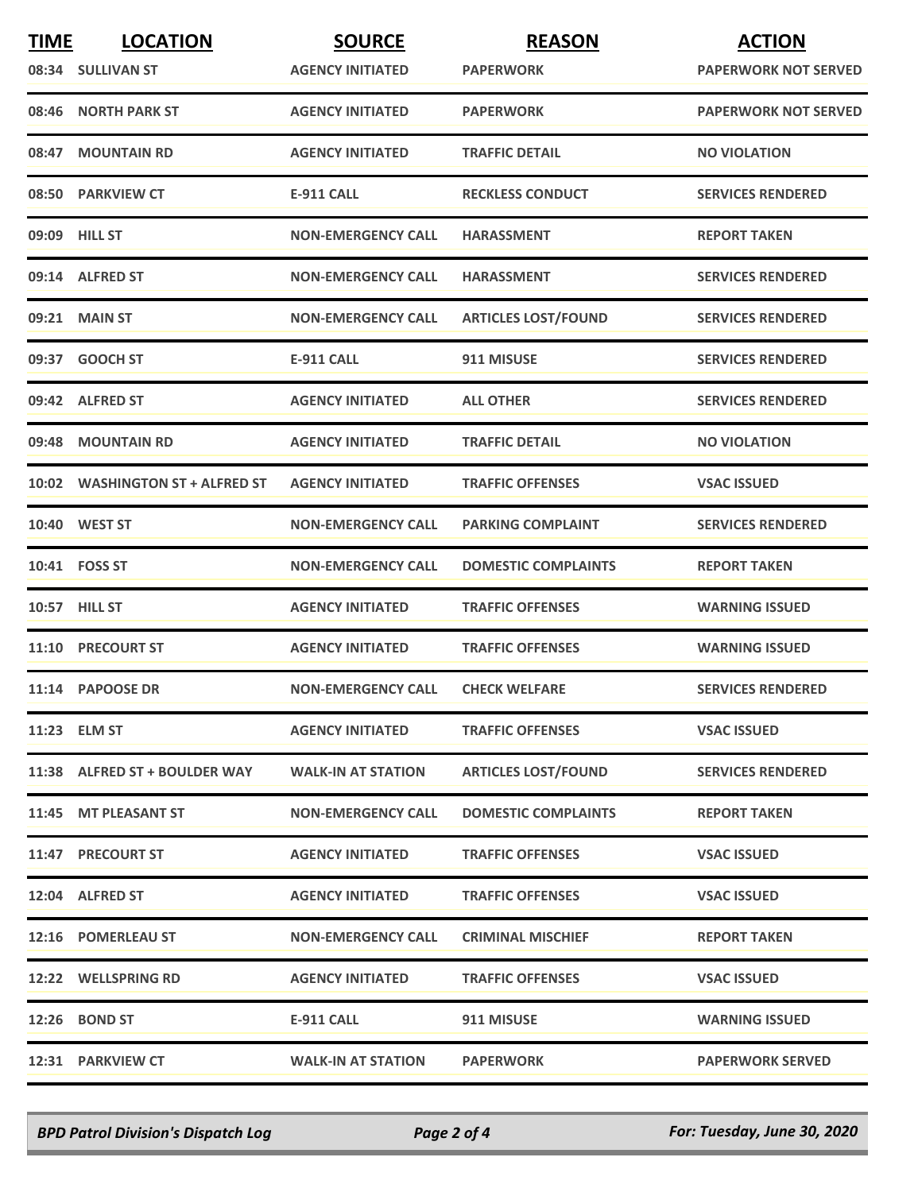| <b>TIME</b> | <b>LOCATION</b>                 | <b>SOURCE</b>             | <b>REASON</b>              | <b>ACTION</b>               |
|-------------|---------------------------------|---------------------------|----------------------------|-----------------------------|
|             | 08:34 SULLIVAN ST               | <b>AGENCY INITIATED</b>   | <b>PAPERWORK</b>           | <b>PAPERWORK NOT SERVED</b> |
|             | 08:46 NORTH PARK ST             | <b>AGENCY INITIATED</b>   | <b>PAPERWORK</b>           | <b>PAPERWORK NOT SERVED</b> |
| 08:47       | <b>MOUNTAIN RD</b>              | <b>AGENCY INITIATED</b>   | <b>TRAFFIC DETAIL</b>      | <b>NO VIOLATION</b>         |
|             | 08:50 PARKVIEW CT               | <b>E-911 CALL</b>         | <b>RECKLESS CONDUCT</b>    | <b>SERVICES RENDERED</b>    |
|             | 09:09 HILL ST                   | <b>NON-EMERGENCY CALL</b> | <b>HARASSMENT</b>          | <b>REPORT TAKEN</b>         |
|             | 09:14 ALFRED ST                 | <b>NON-EMERGENCY CALL</b> | <b>HARASSMENT</b>          | <b>SERVICES RENDERED</b>    |
|             | 09:21 MAIN ST                   | <b>NON-EMERGENCY CALL</b> | <b>ARTICLES LOST/FOUND</b> | <b>SERVICES RENDERED</b>    |
|             | 09:37 GOOCH ST                  | <b>E-911 CALL</b>         | 911 MISUSE                 | <b>SERVICES RENDERED</b>    |
|             | 09:42 ALFRED ST                 | <b>AGENCY INITIATED</b>   | <b>ALL OTHER</b>           | <b>SERVICES RENDERED</b>    |
| 09:48       | <b>MOUNTAIN RD</b>              | <b>AGENCY INITIATED</b>   | <b>TRAFFIC DETAIL</b>      | <b>NO VIOLATION</b>         |
|             | 10:02 WASHINGTON ST + ALFRED ST | <b>AGENCY INITIATED</b>   | <b>TRAFFIC OFFENSES</b>    | <b>VSAC ISSUED</b>          |
|             | 10:40 WEST ST                   | <b>NON-EMERGENCY CALL</b> | <b>PARKING COMPLAINT</b>   | <b>SERVICES RENDERED</b>    |
|             | 10:41 FOSS ST                   | <b>NON-EMERGENCY CALL</b> | <b>DOMESTIC COMPLAINTS</b> | <b>REPORT TAKEN</b>         |
|             | 10:57 HILL ST                   | <b>AGENCY INITIATED</b>   | <b>TRAFFIC OFFENSES</b>    | <b>WARNING ISSUED</b>       |
|             | 11:10 PRECOURT ST               | <b>AGENCY INITIATED</b>   | <b>TRAFFIC OFFENSES</b>    | <b>WARNING ISSUED</b>       |
|             | 11:14 PAPOOSE DR                | <b>NON-EMERGENCY CALL</b> | <b>CHECK WELFARE</b>       | <b>SERVICES RENDERED</b>    |
|             | 11:23 ELM ST                    | <b>AGENCY INITIATED</b>   | <b>TRAFFIC OFFENSES</b>    | <b>VSAC ISSUED</b>          |
|             | 11:38 ALFRED ST + BOULDER WAY   | <b>WALK-IN AT STATION</b> | <b>ARTICLES LOST/FOUND</b> | <b>SERVICES RENDERED</b>    |
|             | 11:45 MT PLEASANT ST            | <b>NON-EMERGENCY CALL</b> | <b>DOMESTIC COMPLAINTS</b> | <b>REPORT TAKEN</b>         |
|             | 11:47 PRECOURT ST               | <b>AGENCY INITIATED</b>   | <b>TRAFFIC OFFENSES</b>    | <b>VSAC ISSUED</b>          |
|             | 12:04 ALFRED ST                 | <b>AGENCY INITIATED</b>   | <b>TRAFFIC OFFENSES</b>    | <b>VSAC ISSUED</b>          |
|             | 12:16 POMERLEAU ST              | <b>NON-EMERGENCY CALL</b> | <b>CRIMINAL MISCHIEF</b>   | <b>REPORT TAKEN</b>         |
|             | 12:22 WELLSPRING RD             | <b>AGENCY INITIATED</b>   | <b>TRAFFIC OFFENSES</b>    | <b>VSAC ISSUED</b>          |
|             | 12:26 BOND ST                   | E-911 CALL                | 911 MISUSE                 | <b>WARNING ISSUED</b>       |
|             | 12:31 PARKVIEW CT               | <b>WALK-IN AT STATION</b> | <b>PAPERWORK</b>           | <b>PAPERWORK SERVED</b>     |

*BPD Patrol Division's Dispatch Log Page 2 of 4 For: Tuesday, June 30, 2020*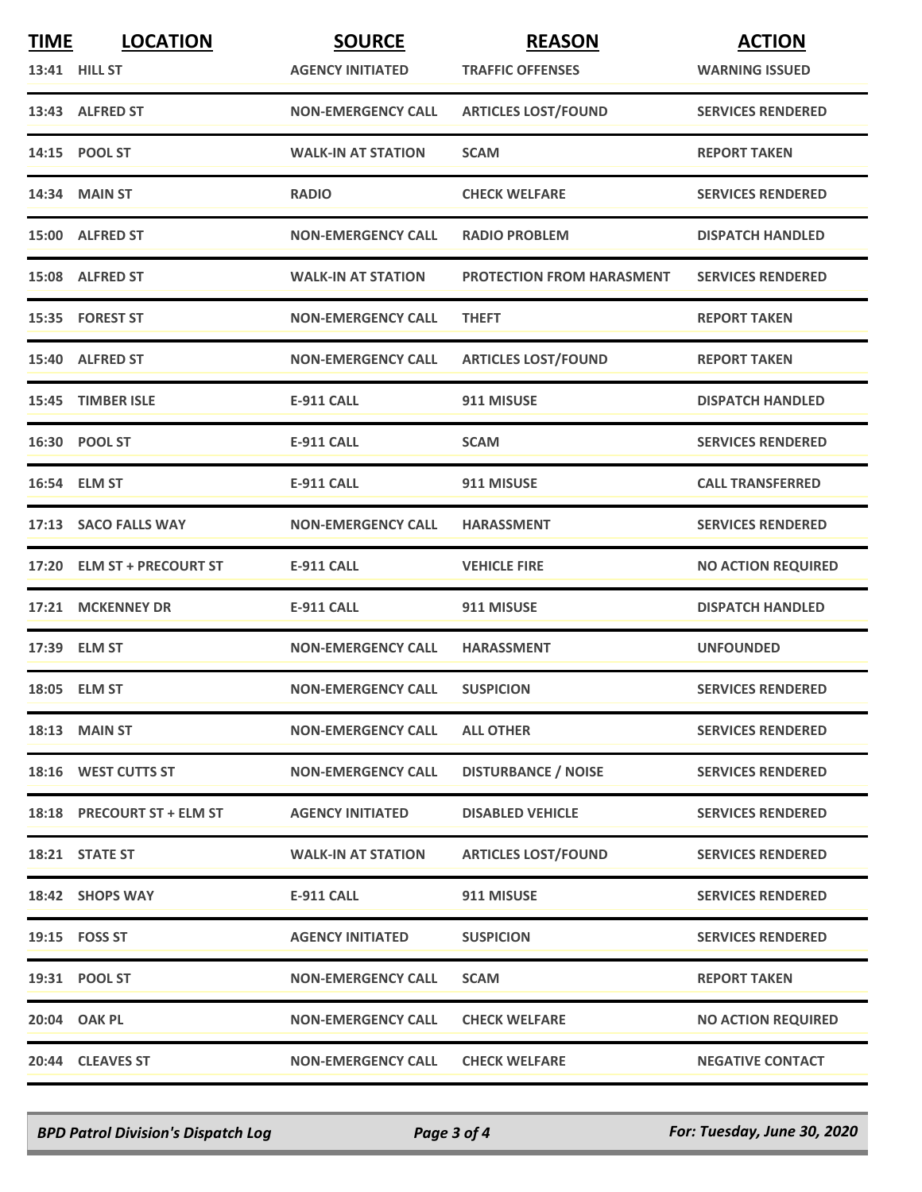| <b>TIME</b> | <b>LOCATION</b><br>13:41 HILL ST | <b>SOURCE</b><br><b>AGENCY INITIATED</b> | <b>REASON</b><br><b>TRAFFIC OFFENSES</b> | <b>ACTION</b><br><b>WARNING ISSUED</b> |
|-------------|----------------------------------|------------------------------------------|------------------------------------------|----------------------------------------|
|             |                                  |                                          |                                          |                                        |
|             | 13:43 ALFRED ST                  | <b>NON-EMERGENCY CALL</b>                | <b>ARTICLES LOST/FOUND</b>               | <b>SERVICES RENDERED</b>               |
|             | 14:15 POOL ST                    | <b>WALK-IN AT STATION</b>                | <b>SCAM</b>                              | <b>REPORT TAKEN</b>                    |
|             | 14:34 MAIN ST                    | <b>RADIO</b>                             | <b>CHECK WELFARE</b>                     | <b>SERVICES RENDERED</b>               |
|             | 15:00 ALFRED ST                  | <b>NON-EMERGENCY CALL</b>                | <b>RADIO PROBLEM</b>                     | <b>DISPATCH HANDLED</b>                |
|             | 15:08 ALFRED ST                  | <b>WALK-IN AT STATION</b>                | <b>PROTECTION FROM HARASMENT</b>         | <b>SERVICES RENDERED</b>               |
|             | 15:35 FOREST ST                  | <b>NON-EMERGENCY CALL</b>                | <b>THEFT</b>                             | <b>REPORT TAKEN</b>                    |
|             | 15:40 ALFRED ST                  | <b>NON-EMERGENCY CALL</b>                | <b>ARTICLES LOST/FOUND</b>               | <b>REPORT TAKEN</b>                    |
|             | 15:45 TIMBER ISLE                | <b>E-911 CALL</b>                        | 911 MISUSE                               | <b>DISPATCH HANDLED</b>                |
|             | 16:30 POOL ST                    | <b>E-911 CALL</b>                        | <b>SCAM</b>                              | <b>SERVICES RENDERED</b>               |
|             | 16:54 ELM ST                     | <b>E-911 CALL</b>                        | 911 MISUSE                               | <b>CALL TRANSFERRED</b>                |
|             | 17:13 SACO FALLS WAY             | <b>NON-EMERGENCY CALL</b>                | <b>HARASSMENT</b>                        | <b>SERVICES RENDERED</b>               |
|             | 17:20 ELM ST + PRECOURT ST       | <b>E-911 CALL</b>                        | <b>VEHICLE FIRE</b>                      | <b>NO ACTION REQUIRED</b>              |
|             | 17:21 MCKENNEY DR                | <b>E-911 CALL</b>                        | 911 MISUSE                               | <b>DISPATCH HANDLED</b>                |
|             | 17:39 ELM ST                     | <b>NON-EMERGENCY CALL</b>                | <b>HARASSMENT</b>                        | <b>UNFOUNDED</b>                       |
|             | 18:05 ELM ST                     | <b>NON-EMERGENCY CALL</b>                | <b>SUSPICION</b>                         | <b>SERVICES RENDERED</b>               |
|             | 18:13 MAIN ST                    | <b>NON-EMERGENCY CALL</b>                | <b>ALL OTHER</b>                         | <b>SERVICES RENDERED</b>               |
|             | 18:16 WEST CUTTS ST              | <b>NON-EMERGENCY CALL</b>                | <b>DISTURBANCE / NOISE</b>               | <b>SERVICES RENDERED</b>               |
|             | 18:18 PRECOURT ST + ELM ST       | <b>AGENCY INITIATED</b>                  | <b>DISABLED VEHICLE</b>                  | <b>SERVICES RENDERED</b>               |
|             | 18:21 STATE ST                   | <b>WALK-IN AT STATION</b>                | <b>ARTICLES LOST/FOUND</b>               | <b>SERVICES RENDERED</b>               |
|             | 18:42 SHOPS WAY                  | <b>E-911 CALL</b>                        | 911 MISUSE                               | <b>SERVICES RENDERED</b>               |
|             | 19:15    FOSS ST                 | <b>AGENCY INITIATED</b>                  | <b>SUSPICION</b>                         | <b>SERVICES RENDERED</b>               |
|             | 19:31 POOL ST                    | <b>NON-EMERGENCY CALL</b>                | <b>SCAM</b>                              | <b>REPORT TAKEN</b>                    |
|             | 20:04 OAK PL                     | <b>NON-EMERGENCY CALL</b>                | <b>CHECK WELFARE</b>                     | <b>NO ACTION REQUIRED</b>              |
|             | 20:44 CLEAVES ST                 | <b>NON-EMERGENCY CALL</b>                | <b>CHECK WELFARE</b>                     | <b>NEGATIVE CONTACT</b>                |

*BPD Patrol Division's Dispatch Log Page 3 of 4 For: Tuesday, June 30, 2020*